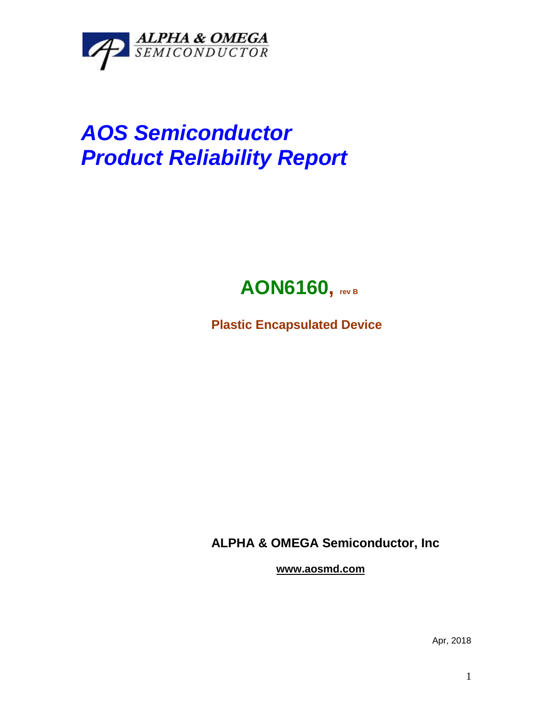

## *AOS Semiconductor Product Reliability Report*



**Plastic Encapsulated Device**

**ALPHA & OMEGA Semiconductor, Inc**

**www.aosmd.com**

Apr, 2018